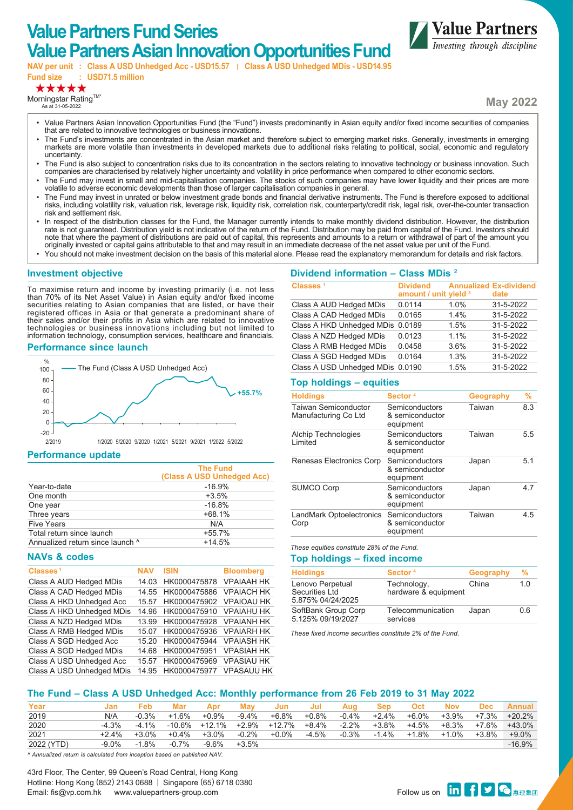# **Value Partners Fund Series Value Partners Asian Innovation Opportunities Fund**

**NAV per unit : Class A USD Unhedged Acc - USD15.57 Class A USD Unhedged MDis - USD14.95 Fund size : USD71.5 million**

# \*\*\*\*\*

Morningstar Rating $TM^*$ As at 31-05-2022

**May 2022**

**Value Partners** Investing through discipline

- Value Partners Asian Innovation Opportunities Fund (the "Fund") invests predominantly in Asian equity and/or fixed income securities of companies that are related to innovative technologies or business innovations.
- The Fund's investments are concentrated in the Asian market and therefore subject to emerging market risks. Generally, investments in emerging markets are more volatile than investments in developed markets due to additional risks relating to political, social, economic and regulatory uncertainty.
- The Fund is also subject to concentration risks due to its concentration in the sectors relating to innovative technology or business innovation. Such companies are characterised by relatively higher uncertainty and volatility in price performance when compared to other economic sectors.
- The Fund may invest in small and mid-capitalisation companies. The stocks of such companies may have lower liquidity and their prices are more volatile to adverse economic developments than those of larger capitalisation companies in general.
- The Fund may invest in unrated or below investment grade bonds and financial derivative instruments. The Fund is therefore exposed to additional risks, including volatility risk, valuation risk, leverage risk, liquidity risk, correlation risk, counterparty/credit risk, legal risk, over-the-counter transaction risk and settlement risk.
- In respect of the distribution classes for the Fund, the Manager currently intends to make monthly dividend distribution. However, the distribution rate is not guaranteed. Distribution yield is not indicative of the return of the Fund. Distribution may be paid from capital of the Fund. Investors should note that where the payment of distributions are paid out of capital, this represents and amounts to a return or withdrawal of part of the amount you originally invested or capital gains attributable to that and may result in an immediate decrease of the net asset value per unit of the Fund.
- You should not make investment decision on the basis of this material alone. Please read the explanatory memorandum for details and risk factors.

#### **Investment objective**

To maximise return and income by investing primarily (i.e. not less than 70% of its Net Asset Value) in Asian equity and/or fixed income securities relating to Asian companies that are listed, or have their registered offices in Asia or that generate a predominant share of their sales and/or their profits in Asia which are related to innovative technologies or business innovations including but not limited to information technology, consumption services, healthcare and financials.

#### **Performance since launch**



#### **Performance update**

|                                  | <b>The Fund</b><br>(Class A USD Unhedged Acc) |
|----------------------------------|-----------------------------------------------|
| Year-to-date                     | $-16.9%$                                      |
| One month                        | $+3.5%$                                       |
| One year                         | $-16.8%$                                      |
| Three years                      | $+68.1%$                                      |
| <b>Five Years</b>                | N/A                                           |
| Total return since launch        | $+55.7%$                                      |
| Annualized return since launch ^ | $+14.5%$                                      |

#### **NAVs & codes**

| Classes <sup>1</sup>      | NAV   | <b>ISIN</b>  | <b>Bloomberg</b>  |
|---------------------------|-------|--------------|-------------------|
| Class A AUD Hedged MDis   | 14.03 | HK0000475878 | <b>VPAIAAH HK</b> |
| Class A CAD Hedged MDis   | 14.55 | HK0000475886 | <b>VPAIACH HK</b> |
| Class A HKD Unhedged Acc  | 15.57 | HK0000475902 | <b>VPAIOAU HK</b> |
| Class A HKD Unhedged MDis | 14 96 | HK0000475910 | <b>VPAIAHU HK</b> |
| Class A NZD Hedged MDis   | 13.99 | HK0000475928 | <b>VPAIANH HK</b> |
| Class A RMB Hedged MDis   | 15.07 | HK0000475936 | <b>VPAIARH HK</b> |
| Class A SGD Hedged Acc    | 15 20 | HK0000475944 | <b>VPAIASH HK</b> |
| Class A SGD Hedged MDis   | 14.68 | HK0000475951 | <b>VPASIAH HK</b> |
| Class A USD Unhedged Acc  | 15.57 | HK0000475969 | <b>VPASIAU HK</b> |
| Class A USD Unhedged MDis | 14.95 | HK0000475977 | <b>VPASAUU HK</b> |
|                           |       |              |                   |

| Classes <sup>1</sup>      | <b>Dividend</b><br>amount / unit yield 3 |        | <b>Annualized Ex-dividend</b><br>date |
|---------------------------|------------------------------------------|--------|---------------------------------------|
| Class A AUD Hedged MDis   | 0.0114                                   | 1.0%   | 31-5-2022                             |
| Class A CAD Hedged MDis   | 0.0165                                   | 14%    | 31-5-2022                             |
| Class A HKD Unhedged MDis | 0.0189                                   | 1.5%   | 31-5-2022                             |
| Class A NZD Hedged MDis   | 0.0123                                   | $11\%$ | 31-5-2022                             |
| Class A RMB Hedged MDis   | 0.0458                                   | 3.6%   | 31-5-2022                             |
| Class A SGD Hedged MDis   | 0.0164                                   | 1.3%   | 31-5-2022                             |
| Class A USD Unhedged MDis | 0.0190                                   | 1.5%   | 31-5-2022                             |

#### **Top holdings – equities**

**Dividend information – Class MDis 2**

| <b>Holdings</b>                                     | Sector <sup>4</sup>                            | Geography | %   |
|-----------------------------------------------------|------------------------------------------------|-----------|-----|
| <b>Taiwan Semiconductor</b><br>Manufacturing Co Ltd | Semiconductors<br>& semiconductor<br>equipment | Taiwan    | 8.3 |
| Alchip Technologies<br>Limited                      | Semiconductors<br>& semiconductor<br>equipment | Taiwan    | 5.5 |
| Renesas Electronics Corp                            | Semiconductors<br>& semiconductor<br>equipment | Japan     | 5.1 |
| <b>SUMCO Corp</b>                                   | Semiconductors<br>& semiconductor<br>equipment | Japan     | 4.7 |
| LandMark Optoelectronics<br>Corp                    | Semiconductors<br>& semiconductor<br>equipment | Taiwan    | 4.5 |

*These equities constitute 28% of the Fund.*

#### **Top holdings – fixed income**

| Sector <sup>4</sup>                 | Geography | ℅   |
|-------------------------------------|-----------|-----|
| Technology,<br>hardware & equipment | China     | 1.0 |
| Telecommunication<br>services       | Japan     | 0.6 |
|                                     |           |     |

*These fixed income securities constitute 2% of the Fund.*

#### **The Fund – Class A USD Unhedged Acc: Monthly performance from 26 Feb 2019 to 31 May 2022**

| Year       |          | Feb     | Mar      | Apr      | May      | Jun                              | <b>Jul</b> | Aug      | Sep   | Oct         | Nov   |             | Dec Annual         |
|------------|----------|---------|----------|----------|----------|----------------------------------|------------|----------|-------|-------------|-------|-------------|--------------------|
| 2019       | N/A      | $-0.3%$ | +1.6%    | $+0.9\%$ | -9.4%    | +6.8%                            | +0.8%      | $-0.4\%$ | +2.4% | +6.0%       |       |             | +3.9% +7.3% +20.2% |
| 2020       | $-4.3\%$ | -4 1%   |          |          |          | -10.6% +12.1% +2.9% +12.7% +8.4% |            | $-2.2\%$ | +3.8% | +4.5%       |       | +8.3% +7.6% | $+43.0\%$          |
| 2021       | $+2.4\%$ | +3.0%   | $+0.4\%$ | +3.0%    | $-0.2\%$ | $+0.0\%$                         | -4.5%      | $-0.3\%$ |       | -1.4% +1.8% | +1.0% | +3.8%       | $+9.0\%$           |
| 2022 (YTD) | $-9.0\%$ | -1.8%   | $-0.7\%$ | -9.6%    | +3.5%    |                                  |            |          |       |             |       |             | $-16.9%$           |

*^ Annualized return is calculated from inception based on published NAV.*

43rd Floor, The Center, 99 Queen's Road Central, Hong Kong Hotline: Hong Kong (852) 2143 0688 | Singapore (65) 6718 0380 Thomine. Thong roung tooz/ 2145 0000 | Singapore too/ 07 10 0500<br>Email: fis@vp.com.hk www.valuepartners-group.com Follow us on <mark>in </mark>